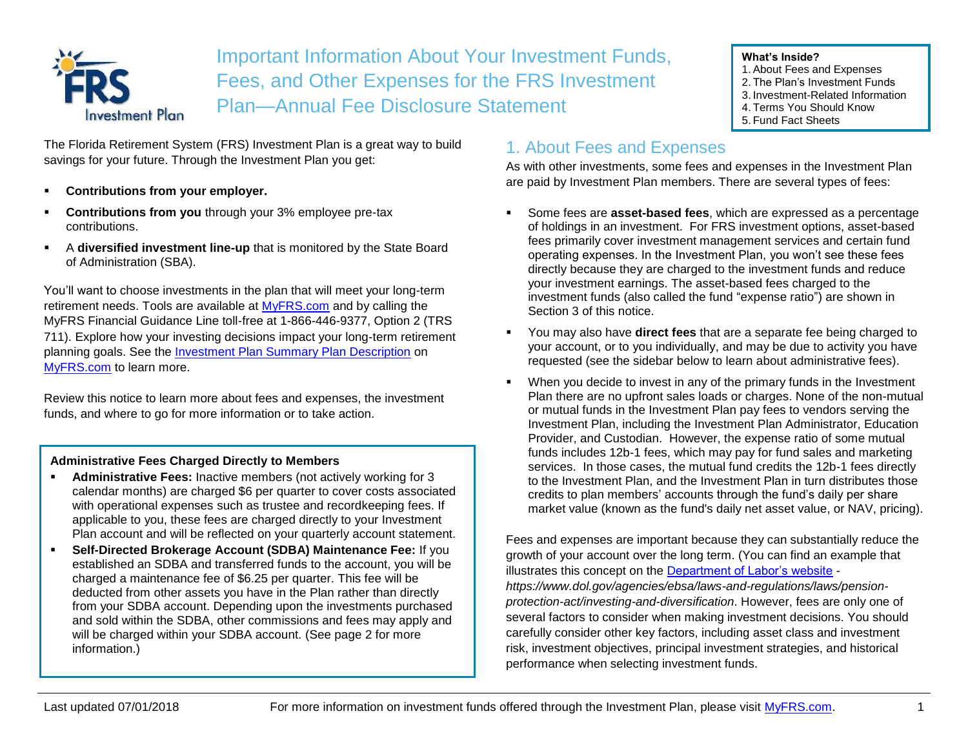

Important Information About Your Investment Funds, Fees, and Other Expenses for the FRS Investment Plan—Annual Fee Disclosure Statement

#### The Florida Retirement System (FRS) Investment Plan is a great way to build savings for your future. Through the Investment Plan you get:

- **Contributions from your employer.**
- **Contributions from you through your 3% employee pre-tax** contributions.
- A **diversified investment line-up** that is monitored by the State Board of Administration (SBA).

You'll want to choose investments in the plan that will meet your long-term retirement needs. Tools are available at [MyFRS.com](http://www.myfrs.com/) and by calling the MyFRS Financial Guidance Line toll-free at 1-866-446-9377, Option 2 (TRS 711). Explore how your investing decisions impact your long-term retirement planning goals. See the [Investment Plan Summary Plan Description](https://www.myfrs.com/pdf/forms/frs_ip_spd.pdf) on [MyFRS.com](http://www.myfrs.com/) to learn more.

Review this notice to learn more about fees and expenses, the investment funds, and where to go for more information or to take action.

#### **Administrative Fees Charged Directly to Members**

- Administrative Fees: Inactive members (not actively working for 3 calendar months) are charged \$6 per quarter to cover costs associated with operational expenses such as trustee and recordkeeping fees. If applicable to you, these fees are charged directly to your Investment Plan account and will be reflected on your quarterly account statement.
- **Self-Directed Brokerage Account (SDBA) Maintenance Fee: If you** established an SDBA and transferred funds to the account, you will be charged a maintenance fee of \$6.25 per quarter. This fee will be deducted from other assets you have in the Plan rather than directly from your SDBA account. Depending upon the investments purchased and sold within the SDBA, other commissions and fees may apply and will be charged within your SDBA account. (See page 2 for more information.)

# 1. About Fees and Expenses

As with other investments, some fees and expenses in the Investment Plan are paid by Investment Plan members. There are several types of fees:

**What's Inside?**

1.About Fees and Expenses 2. The Plan's Investment Funds 3. Investment-Related Information 4. Terms You Should Know 5. Fund Fact Sheets

- Some fees are **asset-based fees**, which are expressed as a percentage of holdings in an investment. For FRS investment options, asset-based fees primarily cover investment management services and certain fund operating expenses. In the Investment Plan, you won't see these fees directly because they are charged to the investment funds and reduce your investment earnings. The asset-based fees charged to the investment funds (also called the fund "expense ratio") are shown in Section 3 of this notice.
- You may also have **direct fees** that are a separate fee being charged to your account, or to you individually, and may be due to activity you have requested (see the sidebar below to learn about administrative fees).
- When you decide to invest in any of the primary funds in the Investment Plan there are no upfront sales loads or charges. None of the non-mutual or mutual funds in the Investment Plan pay fees to vendors serving the Investment Plan, including the Investment Plan Administrator, Education Provider, and Custodian. However, the expense ratio of some mutual funds includes 12b-1 fees, which may pay for fund sales and marketing services. In those cases, the mutual fund credits the 12b-1 fees directly to the Investment Plan, and the Investment Plan in turn distributes those credits to plan members' accounts through the fund's daily per share market value (known as the fund's daily net asset value, or NAV, pricing).

Fees and expenses are important because they can substantially reduce the growth of your account over the long term. (You can find an example that illustrates this concept on the [Department of Labor's website](https://www.dol.gov/agencies/ebsa/laws-and-regulations/laws/pension-protection-act/investing-and-diversification) *https://www.dol.gov/agencies/ebsa/laws-and-regulations/laws/pensionprotection-act/investing-and-diversification*. However, fees are only one of several factors to consider when making investment decisions. You should carefully consider other key factors, including asset class and investment risk, investment objectives, principal investment strategies, and historical performance when selecting investment funds.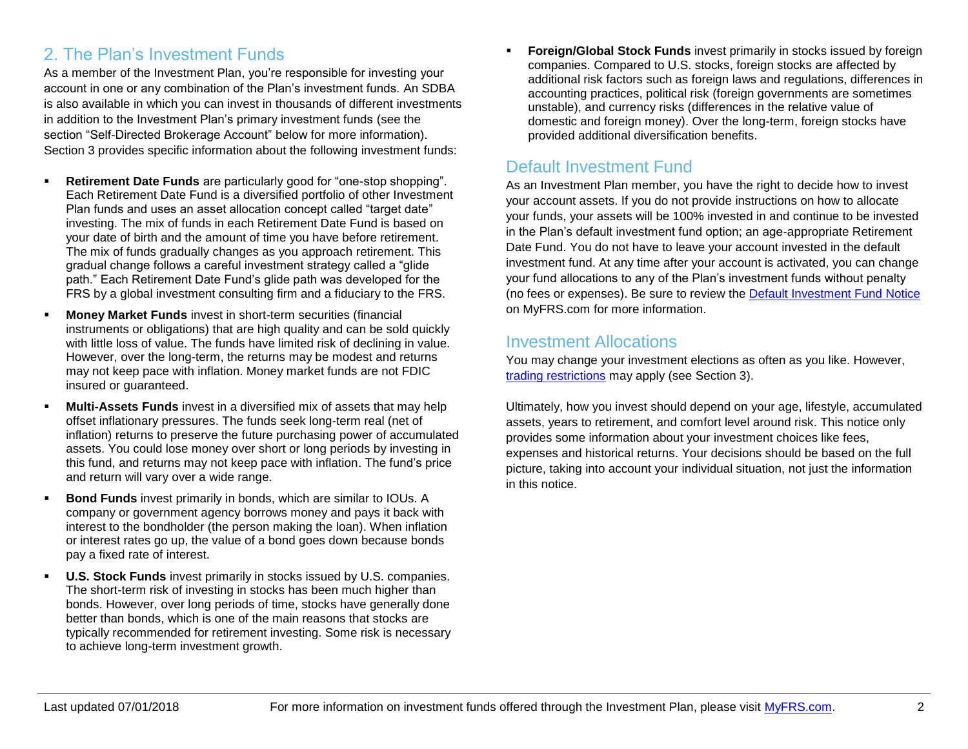# 2. The Plan's Investment Funds

As a member of the Investment Plan, you're responsible for investing your account in one or any combination of the Plan's investment funds. An SDBA is also available in which you can invest in thousands of different investments in addition to the Investment Plan's primary investment funds (see the section "Self-Directed Brokerage Account" below for more information). Section 3 provides specific information about the following investment funds:

- **Retirement Date Funds** are particularly good for "one-stop shopping". Each Retirement Date Fund is a diversified portfolio of other Investment Plan funds and uses an asset allocation concept called "target date" investing. The mix of funds in each Retirement Date Fund is based on your date of birth and the amount of time you have before retirement. The mix of funds gradually changes as you approach retirement. This gradual change follows a careful investment strategy called a "glide path." Each Retirement Date Fund's glide path was developed for the FRS by a global investment consulting firm and a fiduciary to the FRS.
- **Money Market Funds** invest in short-term securities (financial instruments or obligations) that are high quality and can be sold quickly with little loss of value. The funds have limited risk of declining in value. However, over the long-term, the returns may be modest and returns may not keep pace with inflation. Money market funds are not FDIC insured or guaranteed.
- **Multi-Assets Funds** invest in a diversified mix of assets that may help offset inflationary pressures. The funds seek long-term real (net of inflation) returns to preserve the future purchasing power of accumulated assets. You could lose money over short or long periods by investing in this fund, and returns may not keep pace with inflation. The fund's price and return will vary over a wide range.
- **Bond Funds** invest primarily in bonds, which are similar to IOUs. A company or government agency borrows money and pays it back with interest to the bondholder (the person making the loan). When inflation or interest rates go up, the value of a bond goes down because bonds pay a fixed rate of interest.
- **U.S. Stock Funds** invest primarily in stocks issued by U.S. companies. The short-term risk of investing in stocks has been much higher than bonds. However, over long periods of time, stocks have generally done better than bonds, which is one of the main reasons that stocks are typically recommended for retirement investing. Some risk is necessary to achieve long-term investment growth.

**Foreign/Global Stock Funds** invest primarily in stocks issued by foreign companies. Compared to U.S. stocks, foreign stocks are affected by additional risk factors such as foreign laws and regulations, differences in accounting practices, political risk (foreign governments are sometimes unstable), and currency risks (differences in the relative value of domestic and foreign money). Over the long-term, foreign stocks have provided additional diversification benefits.

# Default Investment Fund

As an Investment Plan member, you have the right to decide how to invest your account assets. If you do not provide instructions on how to allocate your funds, your assets will be 100% invested in and continue to be invested in the Plan's default investment fund option; an age-appropriate Retirement Date Fund. You do not have to leave your account invested in the default investment fund. At any time after your account is activated, you can change your fund allocations to any of the Plan's investment funds without penalty (no fees or expenses). Be sure to review the [Default Investment Fund Notice](https://www.myfrs.com/pdf/Default_Investment_Fund_Notice.pdf) on MyFRS.com for more information.

#### Investment Allocations

You may change your investment elections as often as you like. However, [trading restrictions](https://www.myfrs.com/pdf/funds/FRS_excessive_trading.pdf) may apply (see Section 3).

Ultimately, how you invest should depend on your age, lifestyle, accumulated assets, years to retirement, and comfort level around risk. This notice only provides some information about your investment choices like fees, expenses and historical returns. Your decisions should be based on the full picture, taking into account your individual situation, not just the information in this notice.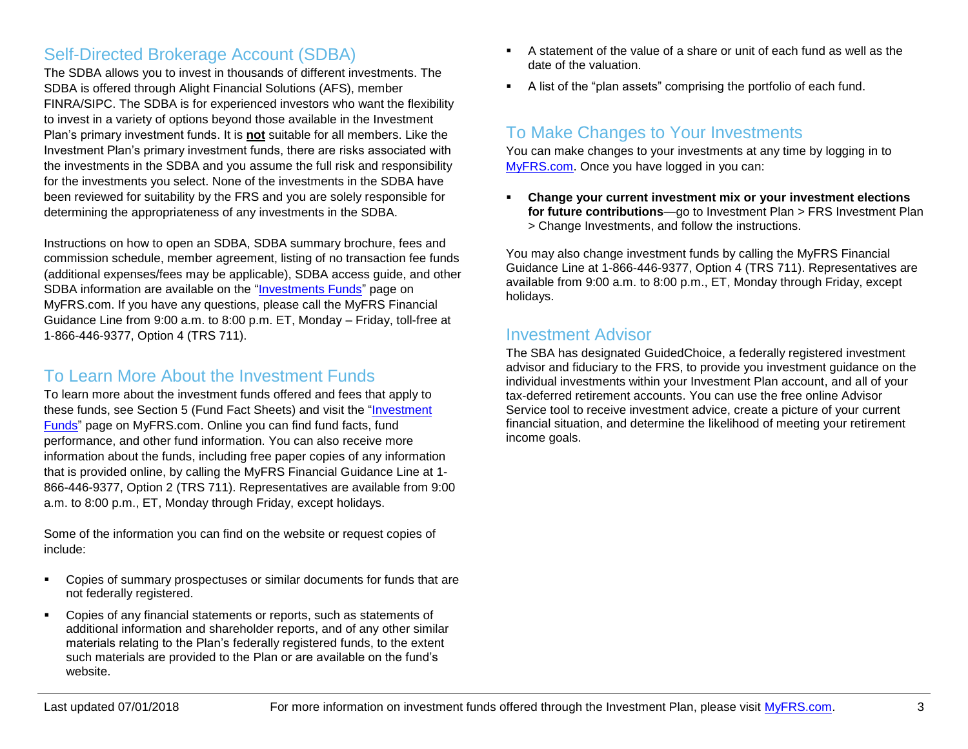### Self-Directed Brokerage Account (SDBA)

The SDBA allows you to invest in thousands of different investments. The SDBA is offered through Alight Financial Solutions (AFS), member FINRA/SIPC. The SDBA is for experienced investors who want the flexibility to invest in a variety of options beyond those available in the Investment Plan's primary investment funds. It is **not** suitable for all members. Like the Investment Plan's primary investment funds, there are risks associated with the investments in the SDBA and you assume the full risk and responsibility for the investments you select. None of the investments in the SDBA have been reviewed for suitability by the FRS and you are solely responsible for determining the appropriateness of any investments in the SDBA.

Instructions on how to open an SDBA, SDBA summary brochure, fees and commission schedule, member agreement, listing of no transaction fee funds (additional expenses/fees may be applicable), SDBA access guide, and other SDBA information are available on the ["Investments Funds"](https://www.myfrs.com/InvestmentFundTabs.htm) page on MyFRS.com. If you have any questions, please call the MyFRS Financial Guidance Line from 9:00 a.m. to 8:00 p.m. ET, Monday – Friday, toll-free at 1-866-446-9377, Option 4 (TRS 711).

### To Learn More About the Investment Funds

To learn more about the investment funds offered and fees that apply to these funds, see Section 5 (Fund Fact Sheets) and visit the ["Investment](https://www.myfrs.com/InvestmentFundTabs.htm)  [Funds"](https://www.myfrs.com/InvestmentFundTabs.htm) page on MyFRS.com. Online you can find fund facts, fund performance, and other fund information. You can also receive more information about the funds, including free paper copies of any information that is provided online, by calling the MyFRS Financial Guidance Line at 1- 866-446-9377, Option 2 (TRS 711). Representatives are available from 9:00 a.m. to 8:00 p.m., ET, Monday through Friday, except holidays.

Some of the information you can find on the website or request copies of include:

- Copies of summary prospectuses or similar documents for funds that are not federally registered.
- Copies of any financial statements or reports, such as statements of additional information and shareholder reports, and of any other similar materials relating to the Plan's federally registered funds, to the extent such materials are provided to the Plan or are available on the fund's website.
- A statement of the value of a share or unit of each fund as well as the date of the valuation.
- A list of the "plan assets" comprising the portfolio of each fund.

### To Make Changes to Your Investments

You can make changes to your investments at any time by logging in to [MyFRS.com.](http://www.myfrs.com/) Once you have logged in you can:

**Change your current investment mix or your investment elections for future contributions**—go to Investment Plan > FRS Investment Plan > Change Investments, and follow the instructions.

You may also change investment funds by calling the MyFRS Financial Guidance Line at 1-866-446-9377, Option 4 (TRS 711). Representatives are available from 9:00 a.m. to 8:00 p.m., ET, Monday through Friday, except holidays.

#### Investment Advisor

The SBA has designated GuidedChoice, a federally registered investment advisor and fiduciary to the FRS, to provide you investment guidance on the individual investments within your Investment Plan account, and all of your tax-deferred retirement accounts. You can use the free online Advisor Service tool to receive investment advice, create a picture of your current financial situation, and determine the likelihood of meeting your retirement income goals.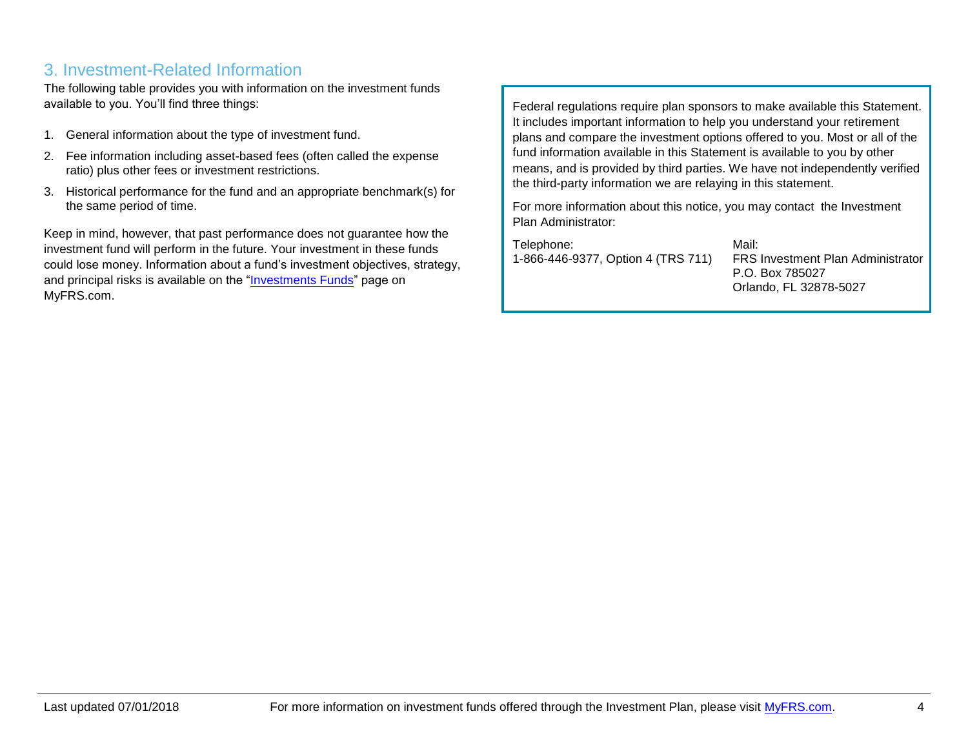#### 3. Investment-Related Information

The following table provides you with information on the investment funds available to you. You'll find three things:

- 1. General information about the type of investment fund.
- 2. Fee information including asset-based fees (often called the expense ratio) plus other fees or investment restrictions.
- 3. Historical performance for the fund and an appropriate benchmark(s) for the same period of time.

Keep in mind, however, that past performance does not guarantee how the investment fund will perform in the future. Your investment in these funds could lose money. Information about a fund's investment objectives, strategy, and principal risks is available on the ["Investments Funds"](https://www.myfrs.com/InvestmentFundTabs.htm) page on MyFRS.com.

Federal regulations require plan sponsors to make available this Statement. It includes important information to help you understand your retirement plans and compare the investment options offered to you. Most or all of the fund information available in this Statement is available to you by other means, and is provided by third parties. We have not independently verified the third-party information we are relaying in this statement.

For more information about this notice, you may contact the Investment Plan Administrator:

Telephone: 1-866-446-9377, Option 4 (TRS 711)

Mail: FRS Investment Plan Administrator P.O. Box 785027 Orlando, FL 32878-5027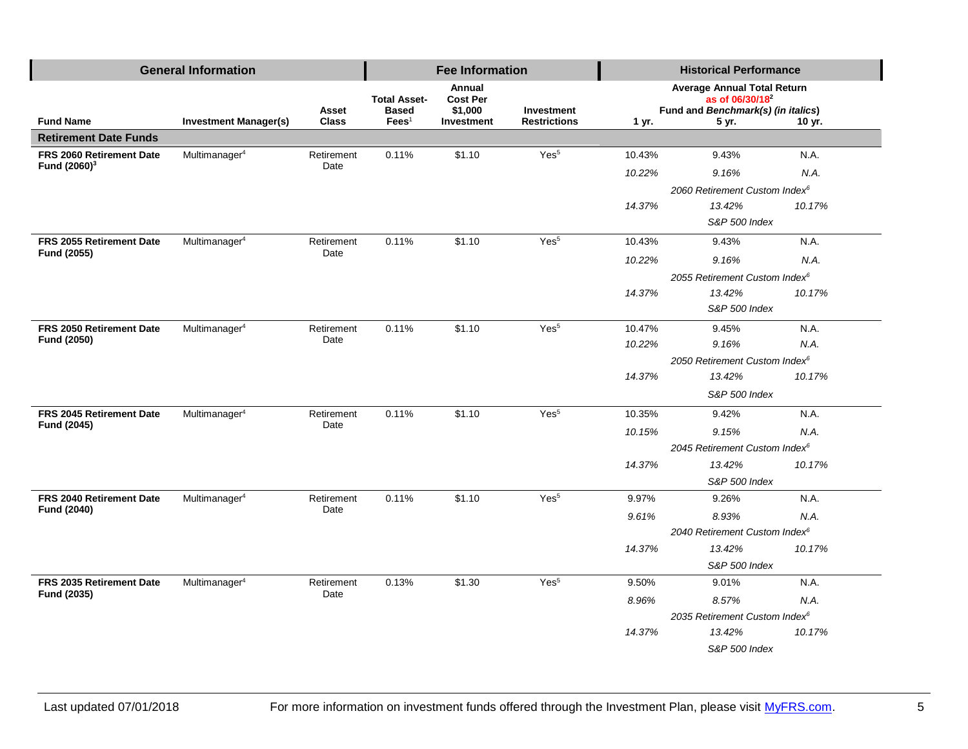| <b>General Information</b>              |                              |                       |                                 | <b>Fee Information</b>    |                                   | <b>Historical Performance</b>                                     |                                             |        |  |
|-----------------------------------------|------------------------------|-----------------------|---------------------------------|---------------------------|-----------------------------------|-------------------------------------------------------------------|---------------------------------------------|--------|--|
|                                         |                              |                       | <b>Total Asset-</b>             | Annual<br><b>Cost Per</b> |                                   | <b>Average Annual Total Return</b><br>as of 06/30/18 <sup>2</sup> |                                             |        |  |
| <b>Fund Name</b>                        | <b>Investment Manager(s)</b> | Asset<br><b>Class</b> | <b>Based</b><br>$\text{Fees}^1$ | \$1,000<br>Investment     | Investment<br><b>Restrictions</b> | 1 yr.                                                             | Fund and Benchmark(s) (in italics)<br>5 yr. | 10 yr. |  |
| <b>Retirement Date Funds</b>            |                              |                       |                                 |                           |                                   |                                                                   |                                             |        |  |
| FRS 2060 Retirement Date                | Multimanager <sup>4</sup>    | Retirement            | 0.11%                           | \$1.10                    | Yes <sup>5</sup>                  | 10.43%                                                            | 9.43%                                       | N.A.   |  |
| Fund (2060) <sup>3</sup>                |                              | Date                  |                                 |                           |                                   | 10.22%                                                            | 9.16%                                       | N.A.   |  |
|                                         |                              |                       |                                 |                           |                                   |                                                                   | 2060 Retirement Custom Index <sup>6</sup>   |        |  |
|                                         |                              |                       |                                 |                           |                                   | 14.37%                                                            | 13.42%                                      | 10.17% |  |
|                                         |                              |                       |                                 |                           |                                   |                                                                   | S&P 500 Index                               |        |  |
| FRS 2055 Retirement Date                | Multimanager <sup>4</sup>    | Retirement            | 0.11%                           | \$1.10                    | Yes <sup>5</sup>                  | 10.43%                                                            | 9.43%                                       | N.A.   |  |
| Fund (2055)                             |                              | Date                  |                                 |                           |                                   | 10.22%                                                            | 9.16%                                       | N.A.   |  |
|                                         |                              |                       |                                 |                           |                                   |                                                                   | 2055 Retirement Custom Index <sup>6</sup>   |        |  |
|                                         |                              |                       |                                 |                           |                                   | 14.37%                                                            | 13.42%                                      | 10.17% |  |
|                                         |                              |                       |                                 |                           |                                   |                                                                   | S&P 500 Index                               |        |  |
| FRS 2050 Retirement Date                | Multimanager <sup>4</sup>    | Retirement<br>Date    | 0.11%                           | \$1.10                    | Yes <sup>5</sup>                  | 10.47%                                                            | 9.45%                                       | N.A.   |  |
| Fund (2050)                             |                              |                       |                                 |                           |                                   | 10.22%                                                            | 9.16%                                       | N.A.   |  |
|                                         |                              |                       |                                 |                           |                                   | 2050 Retirement Custom Index <sup>6</sup>                         |                                             |        |  |
|                                         |                              |                       |                                 |                           |                                   | 14.37%                                                            | 13.42%                                      | 10.17% |  |
|                                         |                              |                       |                                 |                           |                                   |                                                                   | S&P 500 Index                               |        |  |
| FRS 2045 Retirement Date                | Multimanager <sup>4</sup>    | Retirement            | 0.11%                           | \$1.10                    | Yes <sup>5</sup>                  | 10.35%                                                            | 9.42%                                       | N.A.   |  |
| Fund (2045)                             |                              | Date                  |                                 |                           |                                   | 10.15%                                                            | 9.15%                                       | N.A.   |  |
|                                         |                              |                       |                                 |                           |                                   |                                                                   | 2045 Retirement Custom Index <sup>6</sup>   |        |  |
|                                         |                              |                       |                                 |                           |                                   | 14.37%                                                            | 13.42%                                      | 10.17% |  |
|                                         |                              |                       |                                 |                           |                                   |                                                                   | S&P 500 Index                               |        |  |
| FRS 2040 Retirement Date                | Multimanager <sup>4</sup>    | Retirement<br>Date    | 0.11%                           | \$1.10                    | Yes <sup>5</sup>                  | 9.97%                                                             | 9.26%                                       | N.A.   |  |
| Fund (2040)                             |                              |                       |                                 |                           |                                   | 9.61%                                                             | 8.93%                                       | N.A.   |  |
|                                         |                              |                       |                                 |                           |                                   | 2040 Retirement Custom Index <sup>6</sup>                         |                                             |        |  |
|                                         |                              |                       |                                 |                           |                                   | 14.37%                                                            | 13.42%                                      | 10.17% |  |
|                                         |                              |                       |                                 |                           |                                   |                                                                   | S&P 500 Index                               |        |  |
| FRS 2035 Retirement Date<br>Fund (2035) | Multimanager <sup>4</sup>    | Retirement<br>Date    | 0.13%                           | \$1.30                    | Yes <sup>5</sup>                  | 9.50%                                                             | 9.01%                                       | N.A.   |  |
|                                         |                              |                       |                                 |                           |                                   | 8.96%                                                             | 8.57%                                       | N.A.   |  |
|                                         |                              |                       |                                 |                           |                                   |                                                                   | 2035 Retirement Custom Index <sup>6</sup>   |        |  |
|                                         |                              |                       |                                 |                           |                                   | 14.37%                                                            | 13.42%                                      | 10.17% |  |
|                                         |                              |                       |                                 |                           |                                   |                                                                   | S&P 500 Index                               |        |  |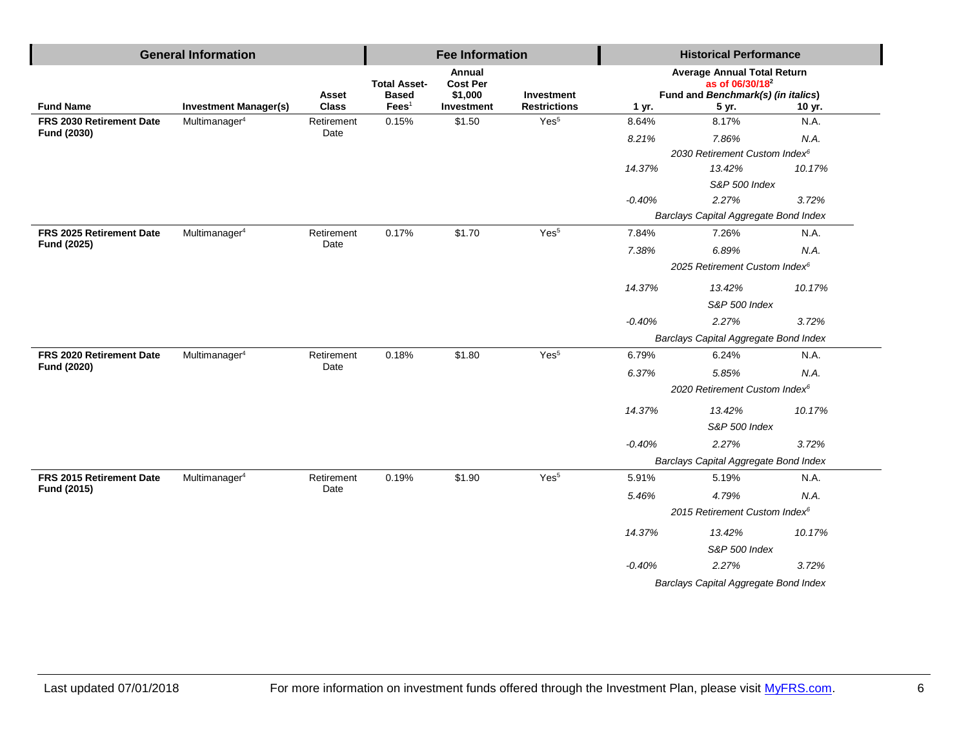|                          | <b>General Information</b>   |                              |                                 | <b>Fee Information</b>    |                                   |          | <b>Historical Performance</b>                                                                           |        |
|--------------------------|------------------------------|------------------------------|---------------------------------|---------------------------|-----------------------------------|----------|---------------------------------------------------------------------------------------------------------|--------|
|                          |                              |                              | <b>Total Asset-</b>             | Annual<br><b>Cost Per</b> |                                   |          | <b>Average Annual Total Return</b><br>as of 06/30/18 <sup>2</sup><br>Fund and Benchmark(s) (in italics) |        |
| <b>Fund Name</b>         | <b>Investment Manager(s)</b> | <b>Asset</b><br><b>Class</b> | <b>Based</b><br>$\text{Fees}^1$ | \$1,000<br>Investment     | Investment<br><b>Restrictions</b> | 1 yr.    | 5 yr.                                                                                                   | 10 yr. |
| FRS 2030 Retirement Date | Multimanager <sup>4</sup>    | Retirement                   | 0.15%                           | \$1.50                    | Yes <sup>5</sup>                  | 8.64%    | 8.17%                                                                                                   | N.A.   |
| Fund (2030)              |                              | Date                         |                                 |                           |                                   | 8.21%    | 7.86%                                                                                                   | N.A.   |
|                          |                              |                              |                                 |                           |                                   |          | 2030 Retirement Custom Index <sup>6</sup>                                                               |        |
|                          |                              |                              |                                 |                           |                                   | 14.37%   | 13.42%                                                                                                  | 10.17% |
|                          |                              |                              |                                 |                           |                                   |          | S&P 500 Index                                                                                           |        |
|                          |                              |                              |                                 |                           |                                   | $-0.40%$ | 2.27%                                                                                                   | 3.72%  |
|                          |                              |                              |                                 |                           |                                   |          | Barclays Capital Aggregate Bond Index                                                                   |        |
| FRS 2025 Retirement Date | Multimanager <sup>4</sup>    | Retirement<br>Date           | 0.17%                           | \$1.70                    | Yes <sup>5</sup>                  | 7.84%    | 7.26%                                                                                                   | N.A.   |
| Fund (2025)              |                              |                              |                                 |                           |                                   | 7.38%    | 6.89%                                                                                                   | N.A.   |
|                          |                              |                              |                                 |                           |                                   |          | 2025 Retirement Custom Index <sup>6</sup>                                                               |        |
|                          |                              |                              |                                 |                           |                                   | 14.37%   | 13.42%                                                                                                  | 10.17% |
|                          |                              |                              |                                 |                           |                                   |          | <b>S&amp;P 500 Index</b>                                                                                |        |
|                          |                              |                              |                                 |                           |                                   | $-0.40%$ | 2.27%                                                                                                   | 3.72%  |
|                          |                              |                              |                                 |                           |                                   |          | Barclays Capital Aggregate Bond Index                                                                   |        |
| FRS 2020 Retirement Date | Multimanager <sup>4</sup>    | Retirement                   | 0.18%                           | \$1.80                    | Yes <sup>5</sup>                  | 6.79%    | 6.24%                                                                                                   | N.A.   |
| Fund (2020)              |                              | Date                         |                                 |                           |                                   | 6.37%    | 5.85%                                                                                                   | N.A.   |
|                          |                              |                              |                                 |                           |                                   |          | 2020 Retirement Custom Index <sup>6</sup>                                                               |        |
|                          |                              |                              |                                 |                           |                                   | 14.37%   | 13.42%                                                                                                  | 10.17% |
|                          |                              |                              |                                 |                           |                                   |          | <b>S&amp;P 500 Index</b>                                                                                |        |
|                          |                              |                              |                                 |                           |                                   | $-0.40%$ | 2.27%                                                                                                   | 3.72%  |
|                          |                              |                              |                                 |                           |                                   |          | Barclays Capital Aggregate Bond Index                                                                   |        |
| FRS 2015 Retirement Date | Multimanager <sup>4</sup>    | Retirement                   | 0.19%                           | \$1.90                    | Yes <sup>5</sup>                  | 5.91%    | 5.19%                                                                                                   | N.A.   |
| Fund (2015)              |                              | Date                         |                                 |                           |                                   | 5.46%    | 4.79%                                                                                                   | N.A.   |
|                          |                              |                              |                                 |                           |                                   |          | 2015 Retirement Custom Index <sup>6</sup>                                                               |        |
|                          |                              |                              |                                 |                           |                                   | 14.37%   | 13.42%                                                                                                  | 10.17% |
|                          |                              |                              |                                 |                           |                                   |          | S&P 500 Index                                                                                           |        |
|                          |                              |                              |                                 |                           |                                   | $-0.40%$ | 2.27%                                                                                                   | 3.72%  |
|                          |                              |                              |                                 |                           |                                   |          | Barclays Capital Aggregate Bond Index                                                                   |        |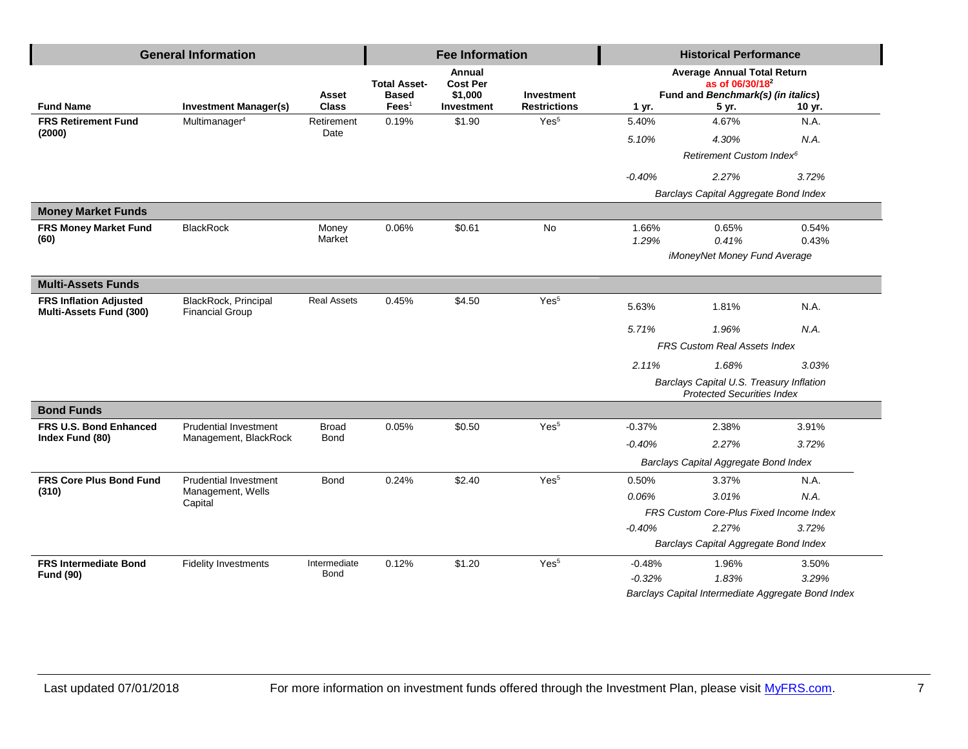| <b>General Information</b>                               |                                                |                       |                                                        | <b>Fee Information</b>                                    |                                          | <b>Historical Performance</b> |                                                                                                                  |                                                    |
|----------------------------------------------------------|------------------------------------------------|-----------------------|--------------------------------------------------------|-----------------------------------------------------------|------------------------------------------|-------------------------------|------------------------------------------------------------------------------------------------------------------|----------------------------------------------------|
| <b>Fund Name</b>                                         | <b>Investment Manager(s)</b>                   | Asset<br><b>Class</b> | <b>Total Asset-</b><br><b>Based</b><br>$\text{Fees}^1$ | Annual<br><b>Cost Per</b><br>\$1,000<br><b>Investment</b> | <b>Investment</b><br><b>Restrictions</b> | 1 yr.                         | <b>Average Annual Total Return</b><br>as of 06/30/18 <sup>2</sup><br>Fund and Benchmark(s) (in italics)<br>5 yr. | 10 yr.                                             |
| <b>FRS Retirement Fund</b>                               | Multimanager <sup>4</sup>                      | Retirement            | 0.19%                                                  | \$1.90                                                    | Yes <sup>5</sup>                         | 5.40%                         | 4.67%                                                                                                            | N.A.                                               |
| (2000)                                                   |                                                | Date                  |                                                        |                                                           |                                          | 5.10%                         | 4.30%                                                                                                            | N.A.                                               |
|                                                          |                                                |                       |                                                        |                                                           |                                          |                               | Retirement Custom Index <sup>6</sup>                                                                             |                                                    |
|                                                          |                                                |                       |                                                        |                                                           |                                          | $-0.40%$                      | 2.27%                                                                                                            | 3.72%                                              |
|                                                          |                                                |                       |                                                        |                                                           |                                          |                               | Barclays Capital Aggregate Bond Index                                                                            |                                                    |
| <b>Money Market Funds</b>                                |                                                |                       |                                                        |                                                           |                                          |                               |                                                                                                                  |                                                    |
| <b>FRS Money Market Fund</b><br>(60)                     | <b>BlackRock</b>                               | Money<br>Market       | 0.06%                                                  | \$0.61                                                    | No                                       | 1.66%                         | 0.65%                                                                                                            | 0.54%                                              |
|                                                          |                                                |                       |                                                        |                                                           |                                          | 1.29%                         | 0.41%<br>iMoneyNet Money Fund Average                                                                            | 0.43%                                              |
|                                                          |                                                |                       |                                                        |                                                           |                                          |                               |                                                                                                                  |                                                    |
| <b>Multi-Assets Funds</b>                                |                                                |                       |                                                        |                                                           |                                          |                               |                                                                                                                  |                                                    |
| <b>FRS Inflation Adjusted</b><br>Multi-Assets Fund (300) | BlackRock, Principal<br><b>Financial Group</b> | <b>Real Assets</b>    | 0.45%                                                  | \$4.50                                                    | Yes <sup>5</sup>                         | 5.63%                         | 1.81%                                                                                                            | N.A.                                               |
|                                                          |                                                |                       |                                                        |                                                           |                                          | 5.71%                         | 1.96%                                                                                                            | N.A.                                               |
|                                                          |                                                |                       |                                                        |                                                           |                                          |                               | <b>FRS Custom Real Assets Index</b>                                                                              |                                                    |
|                                                          |                                                |                       |                                                        |                                                           |                                          | 2.11%                         | 1.68%                                                                                                            | 3.03%                                              |
|                                                          |                                                |                       |                                                        |                                                           |                                          |                               | Barclays Capital U.S. Treasury Inflation<br><b>Protected Securities Index</b>                                    |                                                    |
| <b>Bond Funds</b>                                        |                                                |                       |                                                        |                                                           |                                          |                               |                                                                                                                  |                                                    |
| <b>FRS U.S. Bond Enhanced</b>                            | <b>Prudential Investment</b>                   | <b>Broad</b>          | 0.05%                                                  | \$0.50                                                    | Yes <sup>5</sup>                         | $-0.37%$                      | 2.38%                                                                                                            | 3.91%                                              |
| Index Fund (80)                                          | Management, BlackRock                          | Bond                  |                                                        |                                                           |                                          | $-0.40%$                      | 2.27%                                                                                                            | 3.72%                                              |
|                                                          |                                                |                       |                                                        |                                                           |                                          |                               | Barclays Capital Aggregate Bond Index                                                                            |                                                    |
| <b>FRS Core Plus Bond Fund</b>                           | <b>Prudential Investment</b>                   | <b>Bond</b>           | 0.24%                                                  | \$2.40                                                    | Yes <sup>5</sup>                         | 0.50%                         | 3.37%                                                                                                            | N.A.                                               |
| (310)                                                    | Management, Wells<br>Capital                   |                       |                                                        |                                                           |                                          | 0.06%                         | 3.01%                                                                                                            | N.A.                                               |
|                                                          |                                                |                       |                                                        |                                                           |                                          |                               | FRS Custom Core-Plus Fixed Income Index                                                                          |                                                    |
|                                                          |                                                |                       |                                                        |                                                           |                                          | $-0.40%$                      | 2.27%                                                                                                            | 3.72%                                              |
|                                                          |                                                |                       |                                                        |                                                           |                                          |                               | Barclays Capital Aggregate Bond Index                                                                            |                                                    |
| <b>FRS Intermediate Bond</b>                             | <b>Fidelity Investments</b>                    | Intermediate          | 0.12%                                                  | \$1.20                                                    | Yes <sup>5</sup>                         | $-0.48%$                      | 1.96%                                                                                                            | 3.50%                                              |
| <b>Fund (90)</b>                                         |                                                | Bond                  |                                                        |                                                           |                                          | $-0.32%$                      | 1.83%                                                                                                            | 3.29%                                              |
|                                                          |                                                |                       |                                                        |                                                           |                                          |                               |                                                                                                                  | Barclays Capital Intermediate Aggregate Bond Index |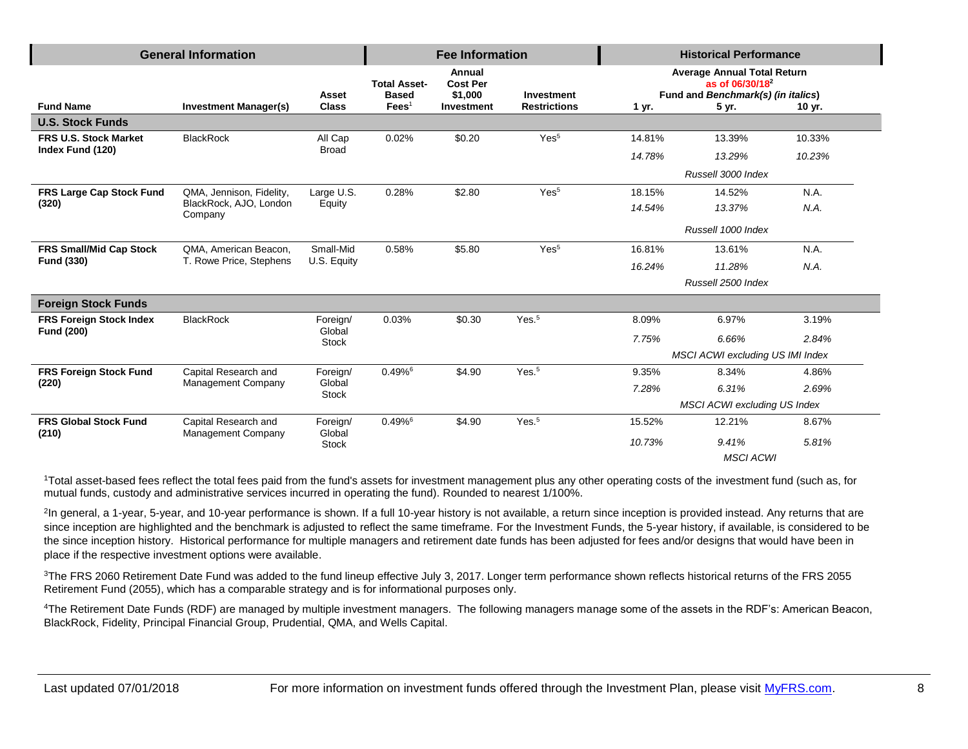| <b>General Information</b>      |                                   |                        | <b>Fee Information</b>              |                                      |                     | <b>Historical Performance</b> |                                                                                                         |        |
|---------------------------------|-----------------------------------|------------------------|-------------------------------------|--------------------------------------|---------------------|-------------------------------|---------------------------------------------------------------------------------------------------------|--------|
|                                 |                                   | Asset                  | <b>Total Asset-</b><br><b>Based</b> | Annual<br><b>Cost Per</b><br>\$1,000 | Investment          |                               | <b>Average Annual Total Return</b><br>as of 06/30/18 <sup>2</sup><br>Fund and Benchmark(s) (in italics) |        |
| <b>Fund Name</b>                | <b>Investment Manager(s)</b>      | <b>Class</b>           | $\text{Fees}^1$                     | Investment                           | <b>Restrictions</b> | 1 yr.                         | 5 yr.                                                                                                   | 10 yr. |
| <b>U.S. Stock Funds</b>         |                                   |                        |                                     |                                      |                     |                               |                                                                                                         |        |
| <b>FRS U.S. Stock Market</b>    | <b>BlackRock</b>                  | All Cap                | 0.02%                               | \$0.20                               | Yes <sup>5</sup>    | 14.81%                        | 13.39%                                                                                                  | 10.33% |
| Index Fund (120)                |                                   | <b>Broad</b>           |                                     |                                      |                     | 14.78%                        | 13.29%                                                                                                  | 10.23% |
|                                 |                                   |                        |                                     |                                      |                     |                               | Russell 3000 Index                                                                                      |        |
| <b>FRS Large Cap Stock Fund</b> | QMA, Jennison, Fidelity,          | Large U.S.             | 0.28%                               | \$2.80                               | Yes <sup>5</sup>    | 18.15%                        | 14.52%                                                                                                  | N.A.   |
| (320)                           | BlackRock, AJO, London<br>Company | Equity                 |                                     |                                      |                     | 14.54%                        | 13.37%                                                                                                  | N.A.   |
|                                 |                                   |                        |                                     |                                      |                     |                               | Russell 1000 Index                                                                                      |        |
| <b>FRS Small/Mid Cap Stock</b>  | QMA, American Beacon,             | Small-Mid              | 0.58%                               | \$5.80                               | Yes <sup>5</sup>    | 16.81%                        | 13.61%                                                                                                  | N.A.   |
| <b>Fund (330)</b>               | T. Rowe Price, Stephens           | U.S. Equity            |                                     |                                      |                     | 16.24%                        | 11.28%                                                                                                  | N.A.   |
|                                 |                                   |                        |                                     |                                      |                     |                               | Russell 2500 Index                                                                                      |        |
| <b>Foreign Stock Funds</b>      |                                   |                        |                                     |                                      |                     |                               |                                                                                                         |        |
| <b>FRS Foreign Stock Index</b>  | <b>BlackRock</b>                  | Foreign/               | 0.03%                               | \$0.30                               | Yes. <sup>5</sup>   | 8.09%                         | 6.97%                                                                                                   | 3.19%  |
| <b>Fund (200)</b>               |                                   | Global<br><b>Stock</b> |                                     |                                      |                     | 7.75%                         | 6.66%                                                                                                   | 2.84%  |
|                                 |                                   |                        |                                     |                                      |                     |                               | MSCI ACWI excluding US IMI Index                                                                        |        |
| <b>FRS Foreign Stock Fund</b>   | Capital Research and              | Foreign/               | $0.49\%$ <sup>6</sup>               | \$4.90                               | Yes. <sup>5</sup>   | 9.35%                         | 8.34%                                                                                                   | 4.86%  |
| (220)                           | <b>Management Company</b>         | Global<br><b>Stock</b> |                                     |                                      |                     | 7.28%                         | 6.31%                                                                                                   | 2.69%  |
|                                 |                                   |                        |                                     |                                      |                     |                               | MSCI ACWI excluding US Index                                                                            |        |
| <b>FRS Global Stock Fund</b>    | Capital Research and              | Foreign/<br>Global     | $0.49\%$ <sup>6</sup>               | \$4.90                               | Yes. <sup>5</sup>   | 15.52%                        | 12.21%                                                                                                  | 8.67%  |
| (210)                           | <b>Management Company</b>         | <b>Stock</b>           |                                     |                                      |                     | 10.73%                        | 9.41%                                                                                                   | 5.81%  |
|                                 |                                   |                        |                                     |                                      |                     |                               | <b>MSCI ACWI</b>                                                                                        |        |

<sup>1</sup>Total asset-based fees reflect the total fees paid from the fund's assets for investment management plus any other operating costs of the investment fund (such as, for mutual funds, custody and administrative services incurred in operating the fund). Rounded to nearest 1/100%.

<sup>2</sup>In general, a 1-year, 5-year, and 10-year performance is shown. If a full 10-year history is not available, a return since inception is provided instead. Any returns that are since inception are highlighted and the benchmark is adjusted to reflect the same timeframe. For the Investment Funds, the 5-year history, if available, is considered to be the since inception history. Historical performance for multiple managers and retirement date funds has been adjusted for fees and/or designs that would have been in place if the respective investment options were available.

<sup>3</sup>The FRS 2060 Retirement Date Fund was added to the fund lineup effective July 3, 2017. Longer term performance shown reflects historical returns of the FRS 2055 Retirement Fund (2055), which has a comparable strategy and is for informational purposes only.

<sup>4</sup>The Retirement Date Funds (RDF) are managed by multiple investment managers. The following managers manage some of the assets in the RDF's: American Beacon, BlackRock, Fidelity, Principal Financial Group, Prudential, QMA, and Wells Capital.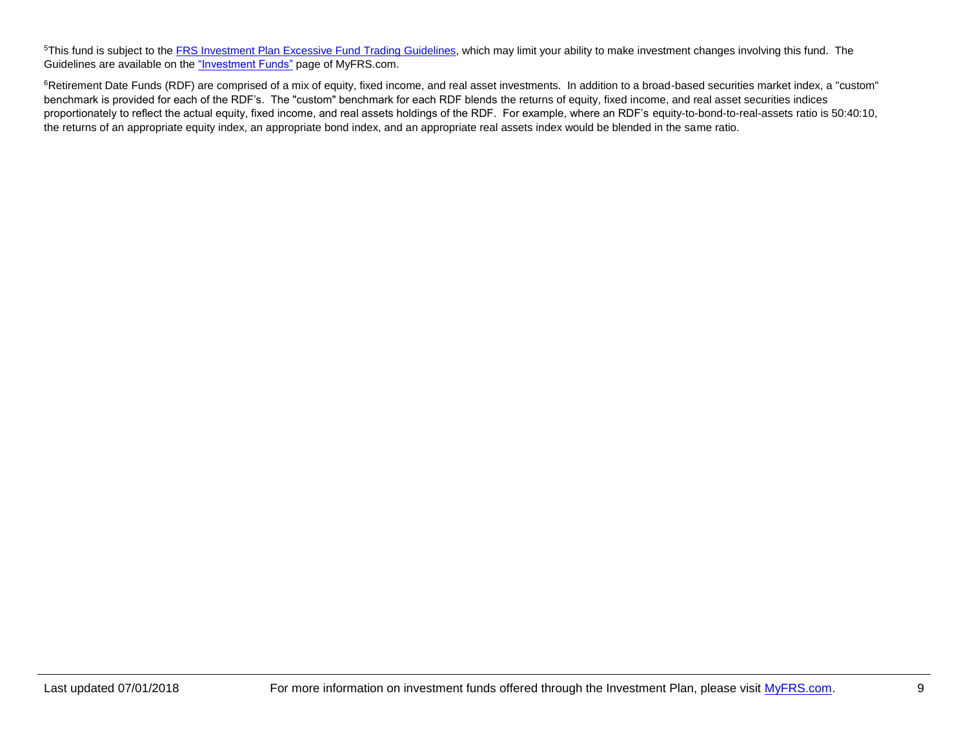<sup>5</sup>This fund is subject to the **FRS Investment Plan Excessive Fund Trading Guidelines**, which may limit your ability to make investment changes involving this fund. The Guidelines are available on the ["Investment Funds"](http://www.myfrs.com/InvestmentFundTabs.htm) page of MyFRS.com.

<sup>6</sup>Retirement Date Funds (RDF) are comprised of a mix of equity, fixed income, and real asset investments. In addition to a broad-based securities market index, a "custom" benchmark is provided for each of the RDF's. The "custom" benchmark for each RDF blends the returns of equity, fixed income, and real asset securities indices proportionately to reflect the actual equity, fixed income, and real assets holdings of the RDF. For example, where an RDF's equity-to-bond-to-real-assets ratio is 50:40:10, the returns of an appropriate equity index, an appropriate bond index, and an appropriate real assets index would be blended in the same ratio.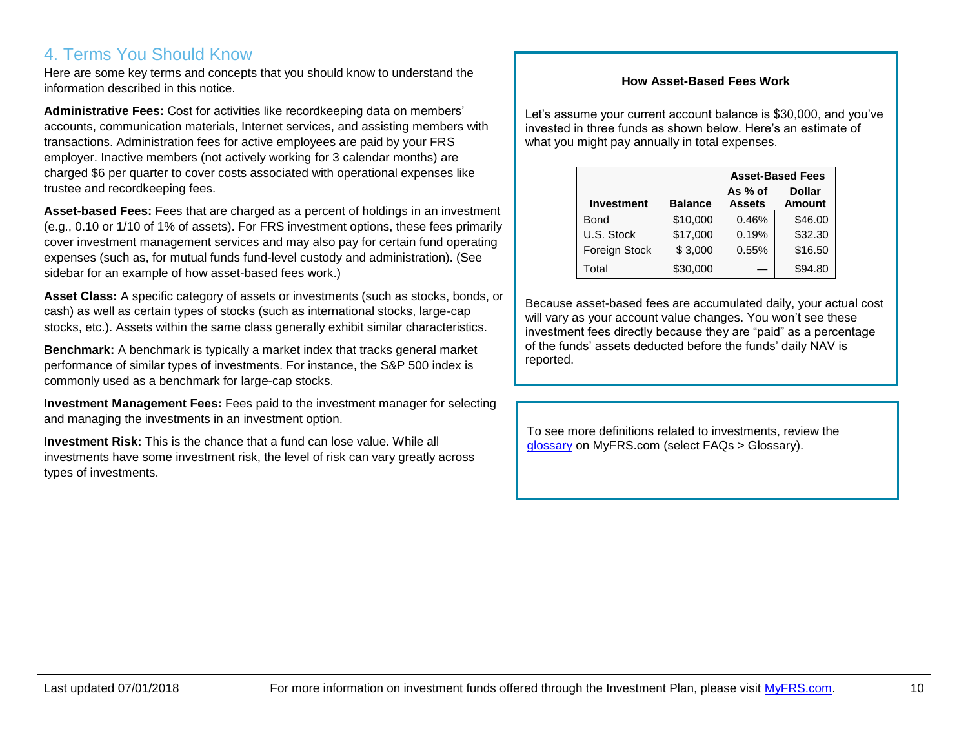# 4. Terms You Should Know

Here are some key terms and concepts that you should know to understand the information described in this notice.

**Administrative Fees:** Cost for activities like recordkeeping data on members' accounts, communication materials, Internet services, and assisting members with transactions. Administration fees for active employees are paid by your FRS employer. Inactive members (not actively working for 3 calendar months) are charged \$6 per quarter to cover costs associated with operational expenses like trustee and recordkeeping fees.

**Asset-based Fees:** Fees that are charged as a percent of holdings in an investment (e.g., 0.10 or 1/10 of 1% of assets). For FRS investment options, these fees primarily cover investment management services and may also pay for certain fund operating expenses (such as, for mutual funds fund-level custody and administration). (See sidebar for an example of how asset-based fees work.)

**Asset Class:** A specific category of assets or investments (such as stocks, bonds, or cash) as well as certain types of stocks (such as international stocks, large-cap stocks, etc.). Assets within the same class generally exhibit similar characteristics.

**Benchmark:** A benchmark is typically a market index that tracks general market performance of similar types of investments. For instance, the S&P 500 index is commonly used as a benchmark for large-cap stocks.

**Investment Management Fees:** Fees paid to the investment manager for selecting and managing the investments in an investment option.

**Investment Risk:** This is the chance that a fund can lose value. While all investments have some investment risk, the level of risk can vary greatly across types of investments.

#### **How Asset-Based Fees Work**

Let's assume your current account balance is \$30,000, and you've invested in three funds as shown below. Here's an estimate of what you might pay annually in total expenses.

|                   |                | <b>Asset-Based Fees</b>  |                                |  |
|-------------------|----------------|--------------------------|--------------------------------|--|
| <b>Investment</b> | <b>Balance</b> | As % of<br><b>Assets</b> | <b>Dollar</b><br><b>Amount</b> |  |
| <b>Bond</b>       | \$10,000       | 0.46%                    | \$46.00                        |  |
| U.S. Stock        | \$17,000       | 0.19%                    | \$32.30                        |  |
| Foreign Stock     | \$3,000        | 0.55%                    | \$16.50                        |  |
| Total             | \$30,000       |                          | \$94.80                        |  |

Because asset-based fees are accumulated daily, your actual cost will vary as your account value changes. You won't see these investment fees directly because they are "paid" as a percentage of the funds' assets deducted before the funds' daily NAV is reported.

To see more definitions related to investments, review the [glossary](https://www.myfrs.com/Glossary.htm) on MyFRS.com (select FAQs > Glossary).